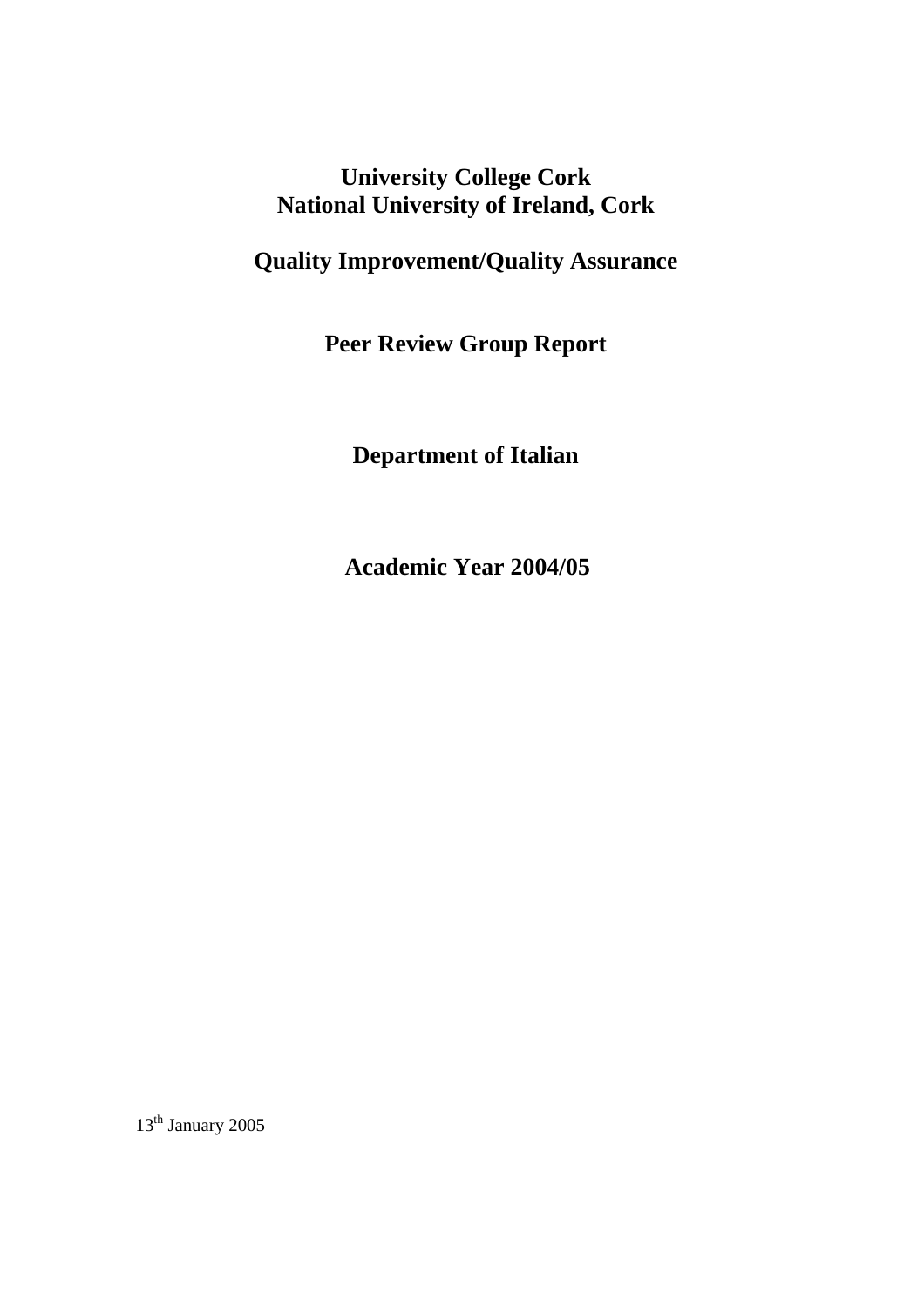**University College Cork National University of Ireland, Cork** 

# **Quality Improvement/Quality Assurance**

**Peer Review Group Report** 

**Department of Italian** 

**Academic Year 2004/05** 

 $13^{\rm th}$  January 2005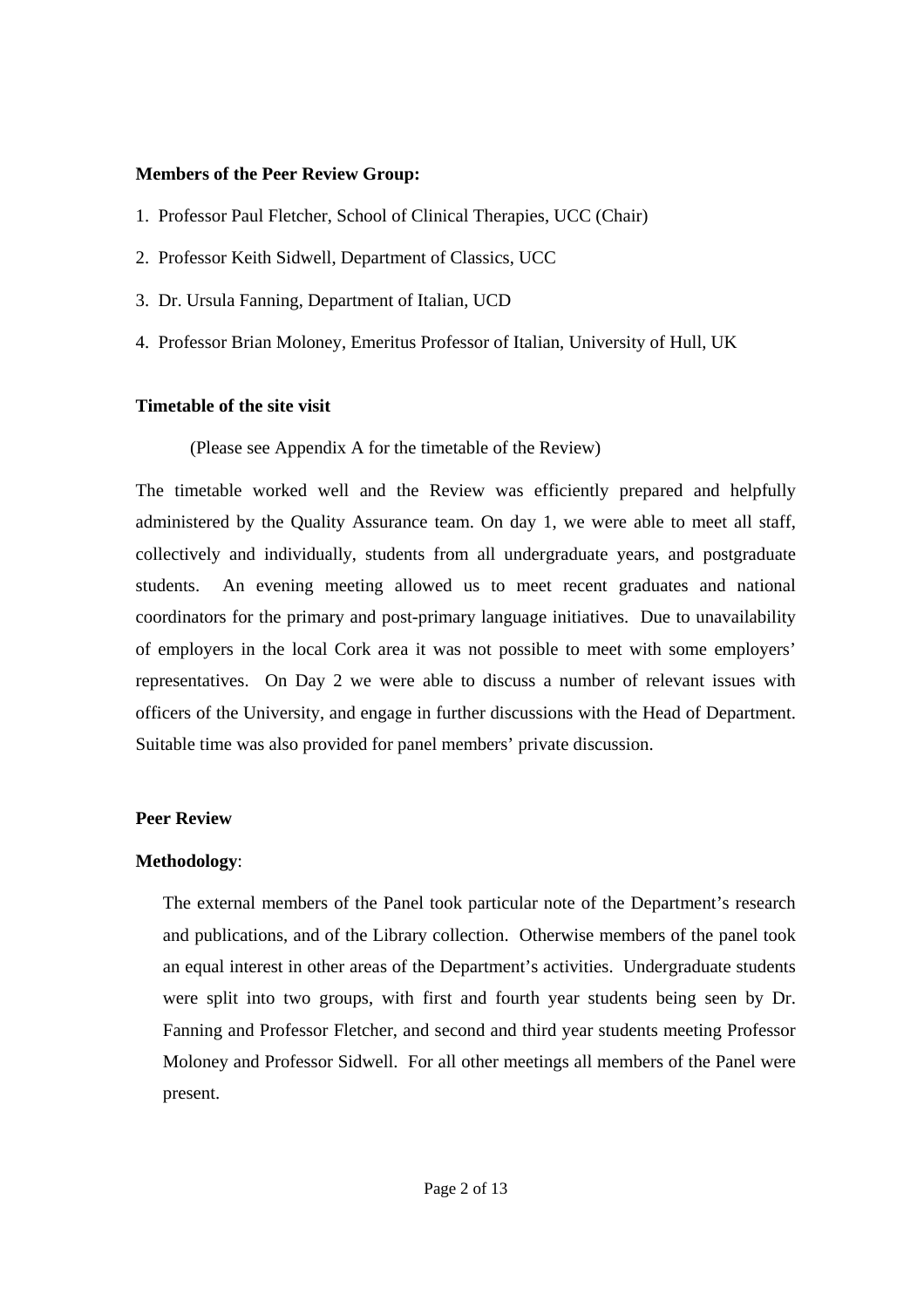#### **Members of the Peer Review Group:**

- 1. Professor Paul Fletcher, School of Clinical Therapies, UCC (Chair)
- 2. Professor Keith Sidwell, Department of Classics, UCC
- 3. Dr. Ursula Fanning, Department of Italian, UCD
- 4. Professor Brian Moloney, Emeritus Professor of Italian, University of Hull, UK

## **Timetable of the site visit**

(Please see Appendix A for the timetable of the Review)

The timetable worked well and the Review was efficiently prepared and helpfully administered by the Quality Assurance team. On day 1, we were able to meet all staff, collectively and individually, students from all undergraduate years, and postgraduate students. An evening meeting allowed us to meet recent graduates and national coordinators for the primary and post-primary language initiatives. Due to unavailability of employers in the local Cork area it was not possible to meet with some employers' representatives. On Day 2 we were able to discuss a number of relevant issues with officers of the University, and engage in further discussions with the Head of Department. Suitable time was also provided for panel members' private discussion.

## **Peer Review**

## **Methodology**:

The external members of the Panel took particular note of the Department's research and publications, and of the Library collection. Otherwise members of the panel took an equal interest in other areas of the Department's activities. Undergraduate students were split into two groups, with first and fourth year students being seen by Dr. Fanning and Professor Fletcher, and second and third year students meeting Professor Moloney and Professor Sidwell. For all other meetings all members of the Panel were present.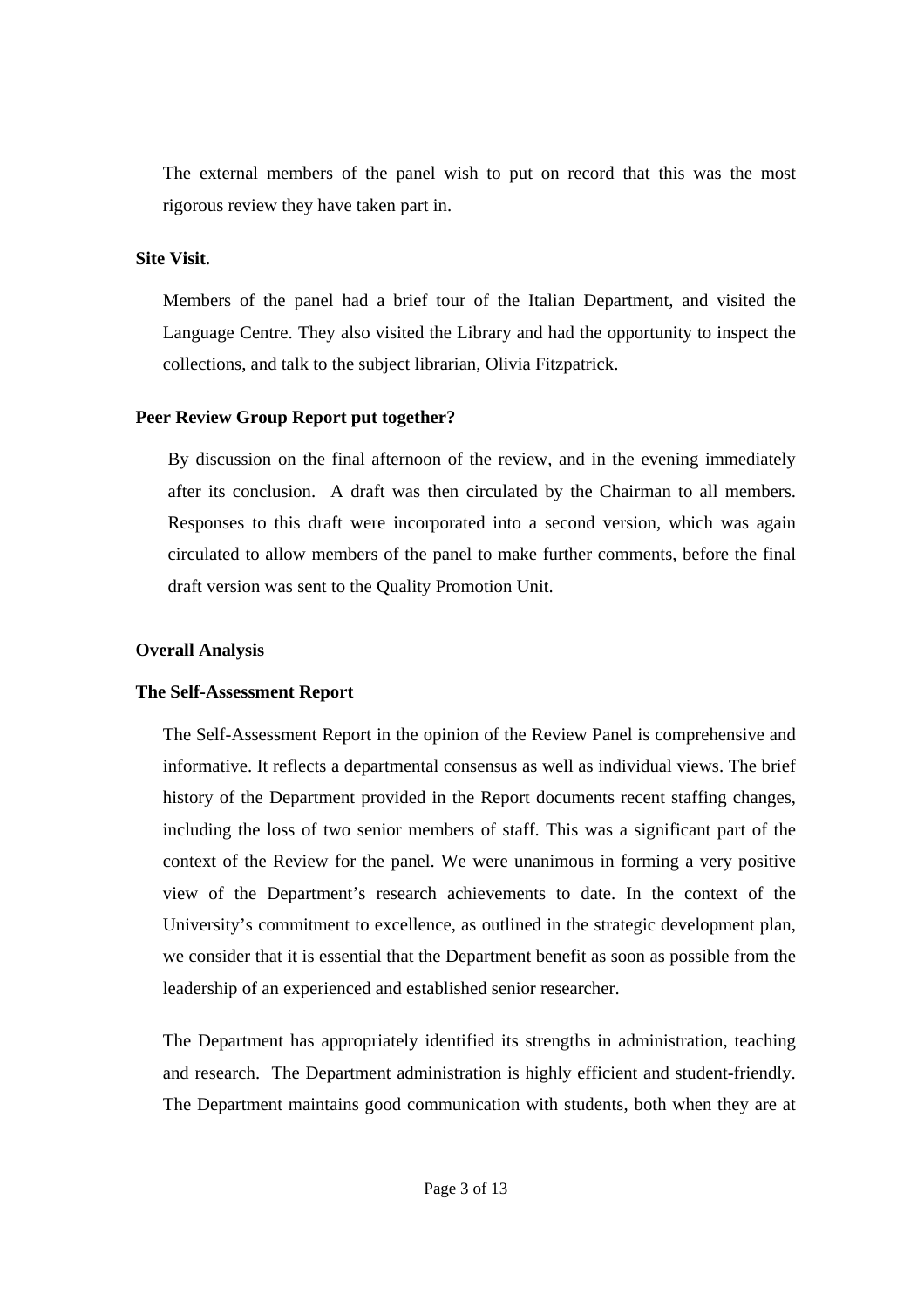The external members of the panel wish to put on record that this was the most rigorous review they have taken part in.

## **Site Visit**.

Members of the panel had a brief tour of the Italian Department, and visited the Language Centre. They also visited the Library and had the opportunity to inspect the collections, and talk to the subject librarian, Olivia Fitzpatrick.

## **Peer Review Group Report put together?**

By discussion on the final afternoon of the review, and in the evening immediately after its conclusion. A draft was then circulated by the Chairman to all members. Responses to this draft were incorporated into a second version, which was again circulated to allow members of the panel to make further comments, before the final draft version was sent to the Quality Promotion Unit.

## **Overall Analysis**

## **The Self-Assessment Report**

The Self-Assessment Report in the opinion of the Review Panel is comprehensive and informative. It reflects a departmental consensus as well as individual views. The brief history of the Department provided in the Report documents recent staffing changes, including the loss of two senior members of staff. This was a significant part of the context of the Review for the panel. We were unanimous in forming a very positive view of the Department's research achievements to date. In the context of the University's commitment to excellence, as outlined in the strategic development plan, we consider that it is essential that the Department benefit as soon as possible from the leadership of an experienced and established senior researcher.

The Department has appropriately identified its strengths in administration, teaching and research. The Department administration is highly efficient and student-friendly. The Department maintains good communication with students, both when they are at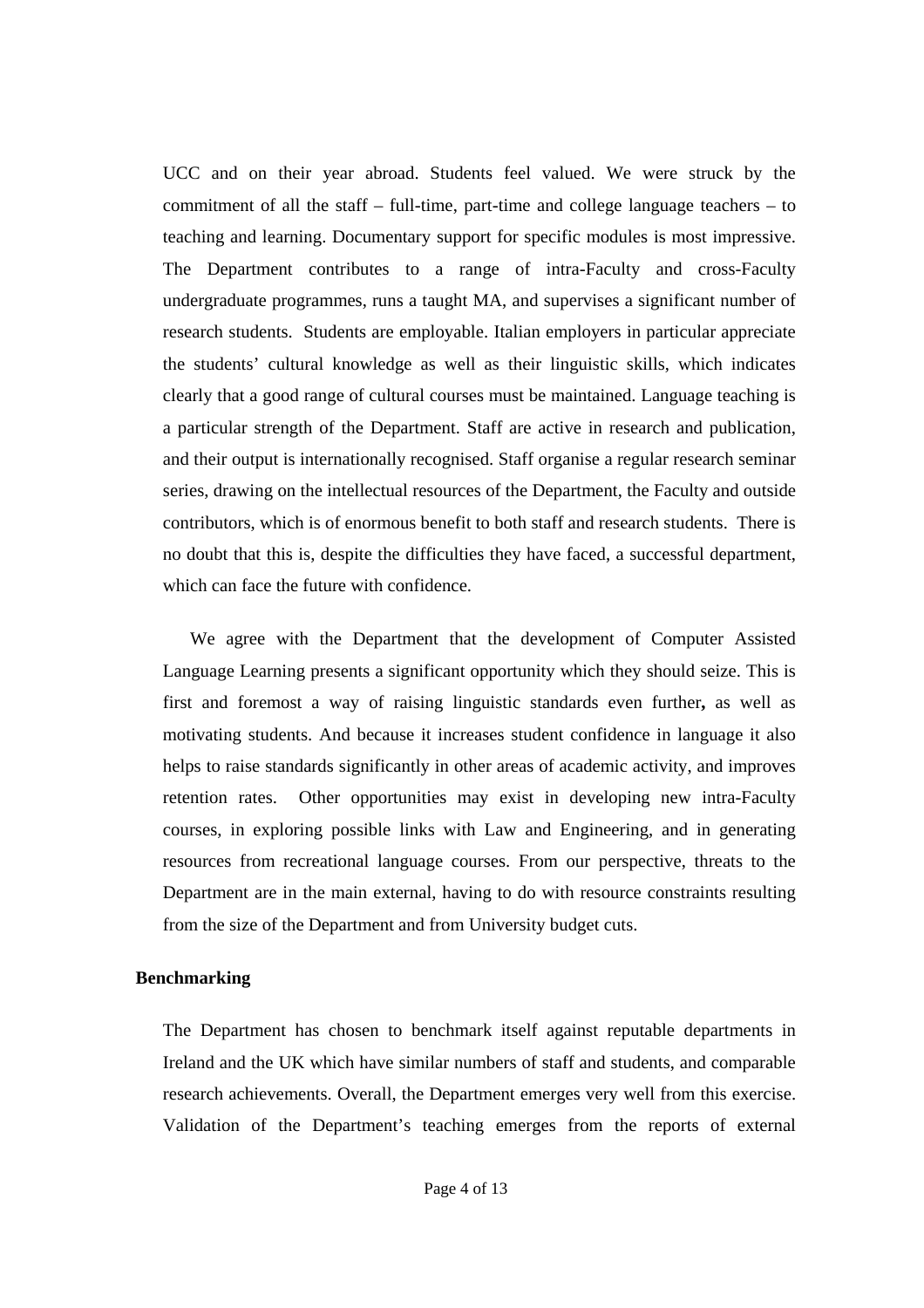UCC and on their year abroad. Students feel valued. We were struck by the commitment of all the staff – full-time, part-time and college language teachers – to teaching and learning. Documentary support for specific modules is most impressive. The Department contributes to a range of intra-Faculty and cross-Faculty undergraduate programmes, runs a taught MA, and supervises a significant number of research students. Students are employable. Italian employers in particular appreciate the students' cultural knowledge as well as their linguistic skills, which indicates clearly that a good range of cultural courses must be maintained. Language teaching is a particular strength of the Department. Staff are active in research and publication, and their output is internationally recognised. Staff organise a regular research seminar series, drawing on the intellectual resources of the Department, the Faculty and outside contributors, which is of enormous benefit to both staff and research students. There is no doubt that this is, despite the difficulties they have faced, a successful department, which can face the future with confidence.

 We agree with the Department that the development of Computer Assisted Language Learning presents a significant opportunity which they should seize. This is first and foremost a way of raising linguistic standards even further**,** as well as motivating students. And because it increases student confidence in language it also helps to raise standards significantly in other areas of academic activity, and improves retention rates. Other opportunities may exist in developing new intra-Faculty courses, in exploring possible links with Law and Engineering, and in generating resources from recreational language courses. From our perspective, threats to the Department are in the main external, having to do with resource constraints resulting from the size of the Department and from University budget cuts.

## **Benchmarking**

The Department has chosen to benchmark itself against reputable departments in Ireland and the UK which have similar numbers of staff and students, and comparable research achievements. Overall, the Department emerges very well from this exercise. Validation of the Department's teaching emerges from the reports of external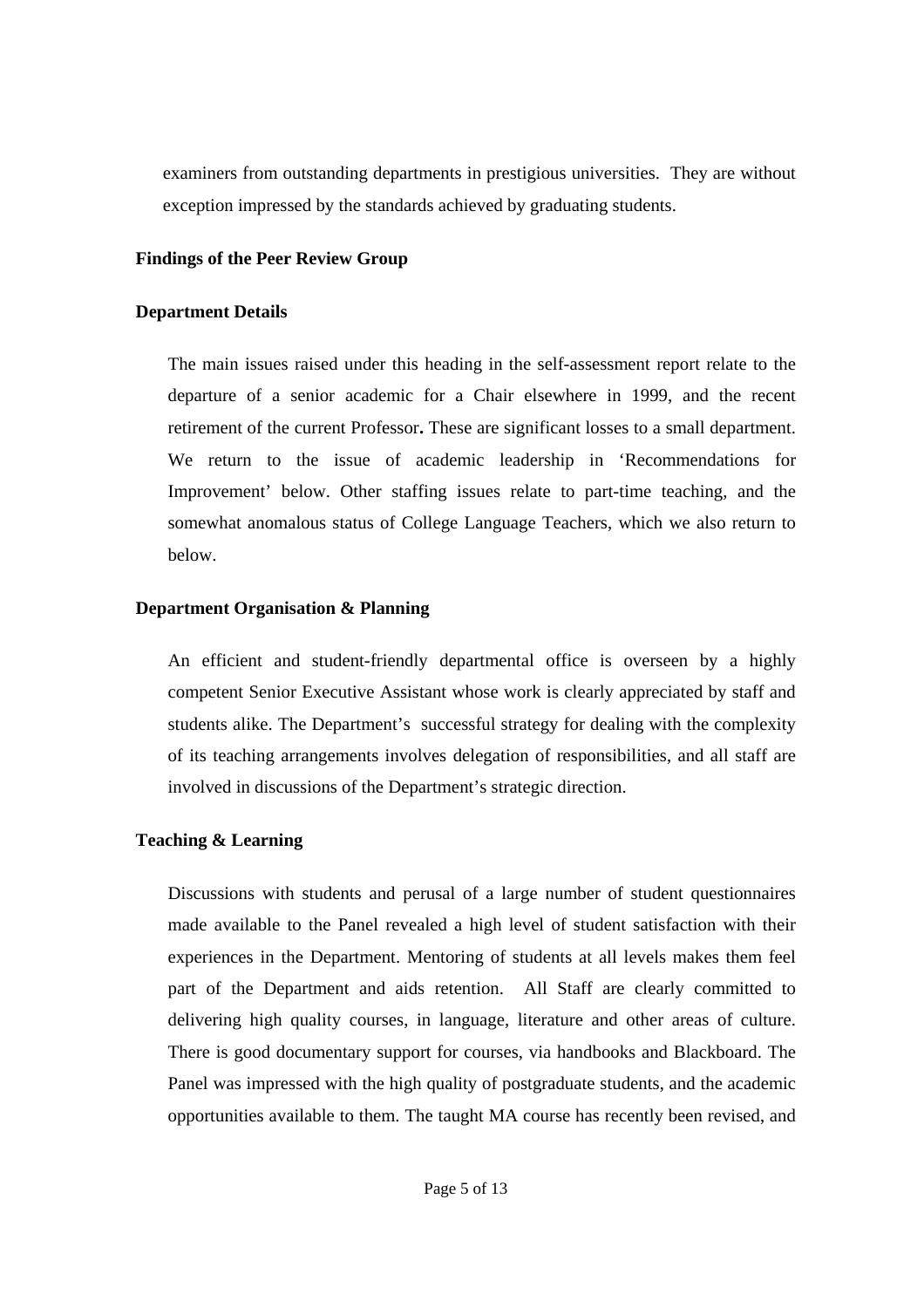examiners from outstanding departments in prestigious universities. They are without exception impressed by the standards achieved by graduating students.

#### **Findings of the Peer Review Group**

#### **Department Details**

The main issues raised under this heading in the self-assessment report relate to the departure of a senior academic for a Chair elsewhere in 1999, and the recent retirement of the current Professor**.** These are significant losses to a small department. We return to the issue of academic leadership in 'Recommendations for Improvement' below. Other staffing issues relate to part-time teaching, and the somewhat anomalous status of College Language Teachers, which we also return to below.

## **Department Organisation & Planning**

An efficient and student-friendly departmental office is overseen by a highly competent Senior Executive Assistant whose work is clearly appreciated by staff and students alike. The Department's successful strategy for dealing with the complexity of its teaching arrangements involves delegation of responsibilities, and all staff are involved in discussions of the Department's strategic direction.

## **Teaching & Learning**

Discussions with students and perusal of a large number of student questionnaires made available to the Panel revealed a high level of student satisfaction with their experiences in the Department. Mentoring of students at all levels makes them feel part of the Department and aids retention. All Staff are clearly committed to delivering high quality courses, in language, literature and other areas of culture. There is good documentary support for courses, via handbooks and Blackboard. The Panel was impressed with the high quality of postgraduate students, and the academic opportunities available to them. The taught MA course has recently been revised, and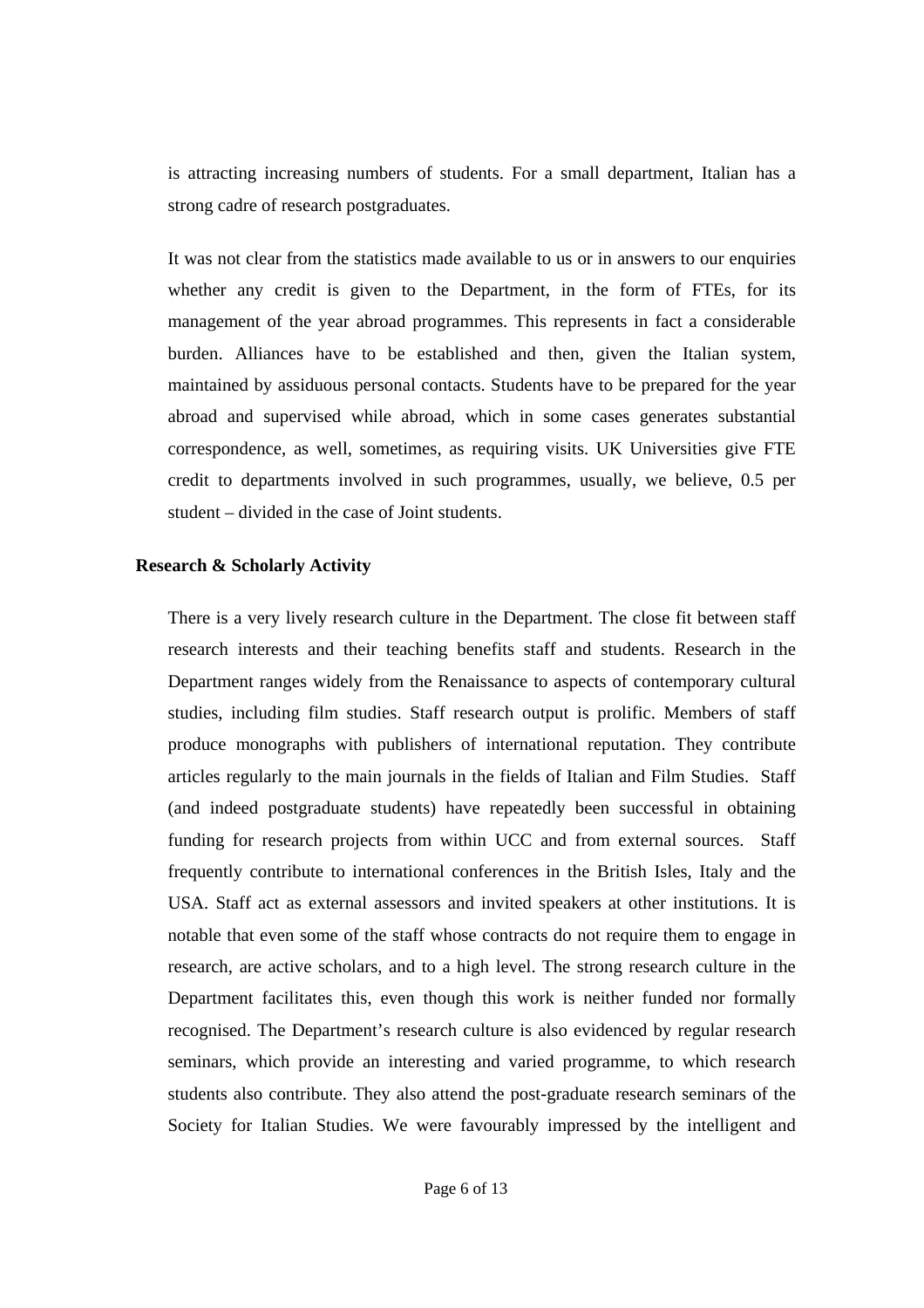is attracting increasing numbers of students. For a small department, Italian has a strong cadre of research postgraduates.

It was not clear from the statistics made available to us or in answers to our enquiries whether any credit is given to the Department, in the form of FTEs, for its management of the year abroad programmes. This represents in fact a considerable burden. Alliances have to be established and then, given the Italian system, maintained by assiduous personal contacts. Students have to be prepared for the year abroad and supervised while abroad, which in some cases generates substantial correspondence, as well, sometimes, as requiring visits. UK Universities give FTE credit to departments involved in such programmes, usually, we believe, 0.5 per student – divided in the case of Joint students.

#### **Research & Scholarly Activity**

There is a very lively research culture in the Department. The close fit between staff research interests and their teaching benefits staff and students. Research in the Department ranges widely from the Renaissance to aspects of contemporary cultural studies, including film studies. Staff research output is prolific. Members of staff produce monographs with publishers of international reputation. They contribute articles regularly to the main journals in the fields of Italian and Film Studies. Staff (and indeed postgraduate students) have repeatedly been successful in obtaining funding for research projects from within UCC and from external sources. Staff frequently contribute to international conferences in the British Isles, Italy and the USA. Staff act as external assessors and invited speakers at other institutions. It is notable that even some of the staff whose contracts do not require them to engage in research, are active scholars, and to a high level. The strong research culture in the Department facilitates this, even though this work is neither funded nor formally recognised. The Department's research culture is also evidenced by regular research seminars, which provide an interesting and varied programme, to which research students also contribute. They also attend the post-graduate research seminars of the Society for Italian Studies. We were favourably impressed by the intelligent and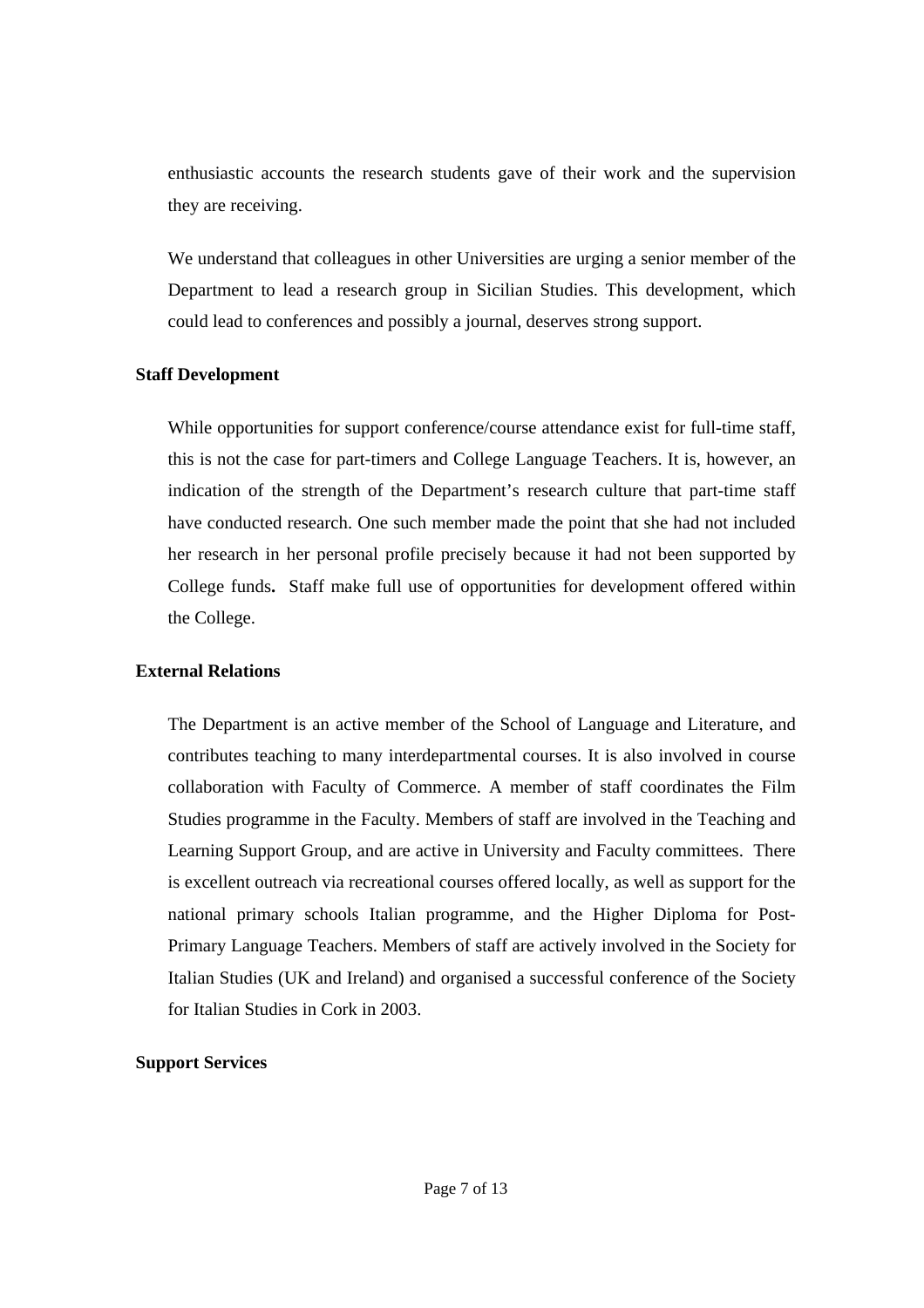enthusiastic accounts the research students gave of their work and the supervision they are receiving.

We understand that colleagues in other Universities are urging a senior member of the Department to lead a research group in Sicilian Studies. This development, which could lead to conferences and possibly a journal, deserves strong support.

## **Staff Development**

While opportunities for support conference/course attendance exist for full-time staff, this is not the case for part-timers and College Language Teachers. It is, however, an indication of the strength of the Department's research culture that part-time staff have conducted research. One such member made the point that she had not included her research in her personal profile precisely because it had not been supported by College funds**.** Staff make full use of opportunities for development offered within the College.

## **External Relations**

The Department is an active member of the School of Language and Literature, and contributes teaching to many interdepartmental courses. It is also involved in course collaboration with Faculty of Commerce. A member of staff coordinates the Film Studies programme in the Faculty. Members of staff are involved in the Teaching and Learning Support Group, and are active in University and Faculty committees. There is excellent outreach via recreational courses offered locally, as well as support for the national primary schools Italian programme, and the Higher Diploma for Post-Primary Language Teachers. Members of staff are actively involved in the Society for Italian Studies (UK and Ireland) and organised a successful conference of the Society for Italian Studies in Cork in 2003.

## **Support Services**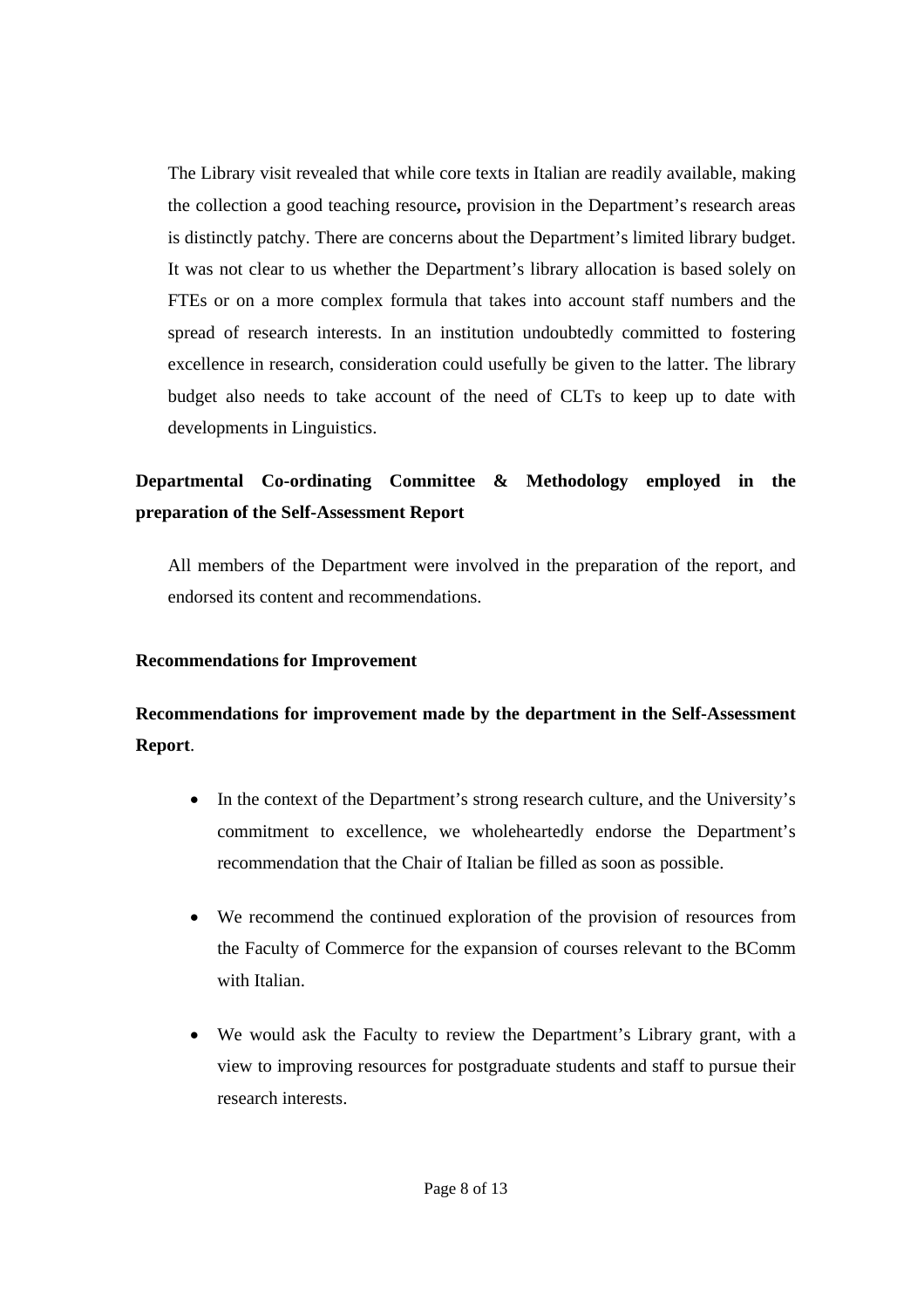The Library visit revealed that while core texts in Italian are readily available, making the collection a good teaching resource**,** provision in the Department's research areas is distinctly patchy. There are concerns about the Department's limited library budget. It was not clear to us whether the Department's library allocation is based solely on FTEs or on a more complex formula that takes into account staff numbers and the spread of research interests. In an institution undoubtedly committed to fostering excellence in research, consideration could usefully be given to the latter. The library budget also needs to take account of the need of CLTs to keep up to date with developments in Linguistics.

# **Departmental Co-ordinating Committee & Methodology employed in the preparation of the Self-Assessment Report**

All members of the Department were involved in the preparation of the report, and endorsed its content and recommendations.

## **Recommendations for Improvement**

# **Recommendations for improvement made by the department in the Self-Assessment Report**.

- In the context of the Department's strong research culture, and the University's commitment to excellence, we wholeheartedly endorse the Department's recommendation that the Chair of Italian be filled as soon as possible.
- We recommend the continued exploration of the provision of resources from the Faculty of Commerce for the expansion of courses relevant to the BComm with Italian.
- We would ask the Faculty to review the Department's Library grant, with a view to improving resources for postgraduate students and staff to pursue their research interests.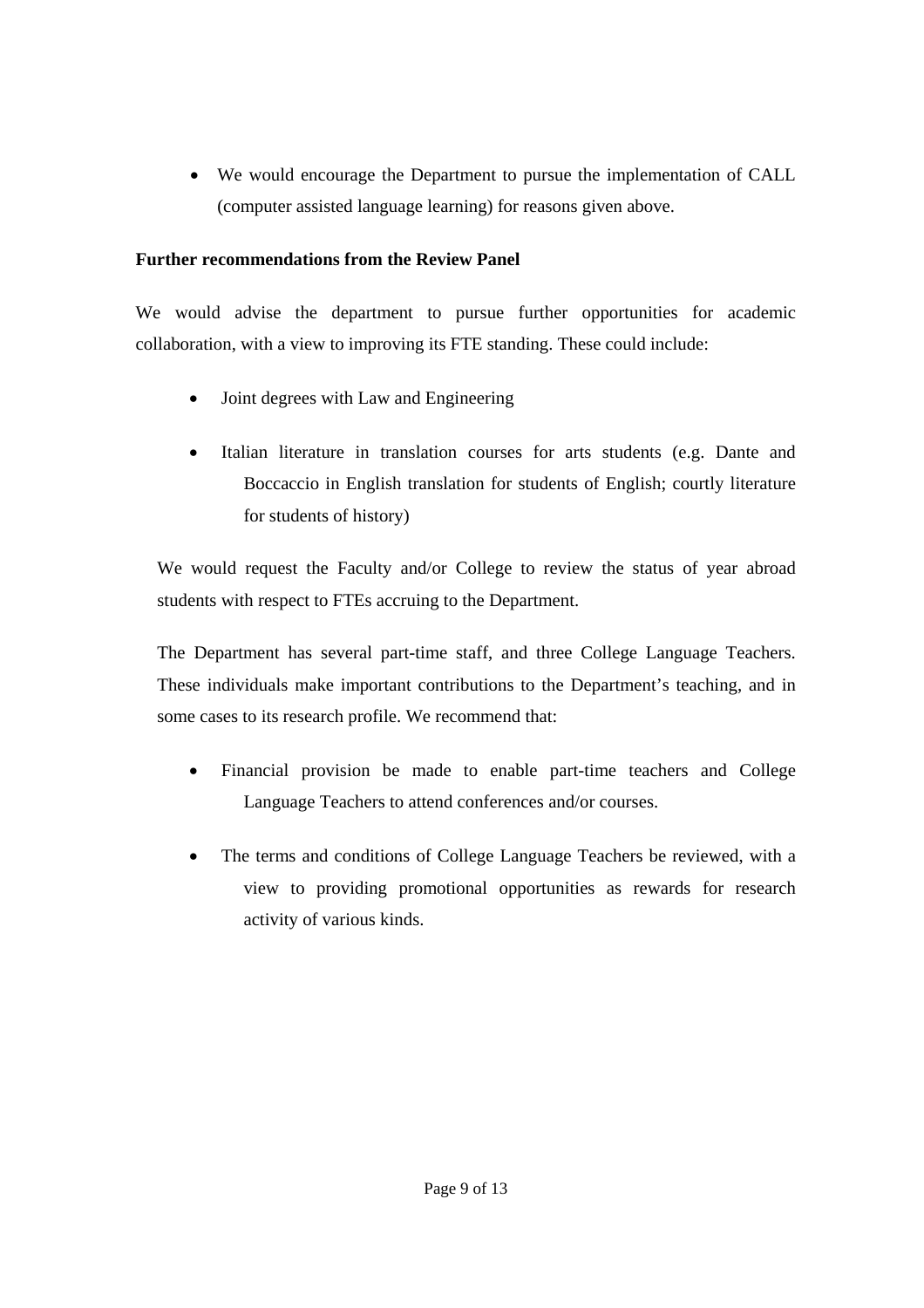• We would encourage the Department to pursue the implementation of CALL (computer assisted language learning) for reasons given above.

## **Further recommendations from the Review Panel**

We would advise the department to pursue further opportunities for academic collaboration, with a view to improving its FTE standing. These could include:

- Joint degrees with Law and Engineering
- Italian literature in translation courses for arts students (e.g. Dante and Boccaccio in English translation for students of English; courtly literature for students of history)

We would request the Faculty and/or College to review the status of year abroad students with respect to FTEs accruing to the Department.

The Department has several part-time staff, and three College Language Teachers. These individuals make important contributions to the Department's teaching, and in some cases to its research profile. We recommend that:

- Financial provision be made to enable part-time teachers and College Language Teachers to attend conferences and/or courses.
- The terms and conditions of College Language Teachers be reviewed, with a view to providing promotional opportunities as rewards for research activity of various kinds.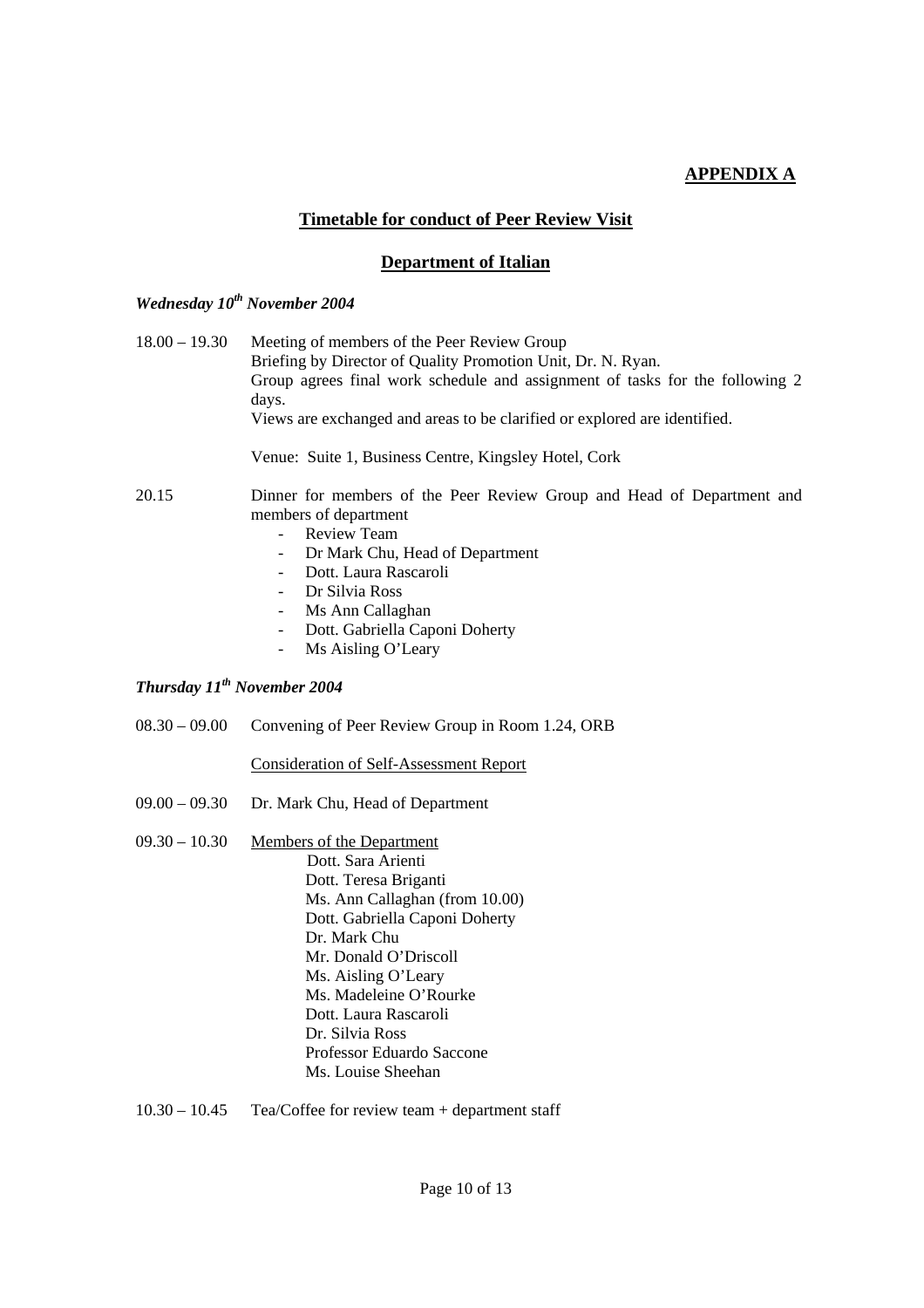## **APPENDIX A**

## **Timetable for conduct of Peer Review Visit**

#### **Department of Italian**

## *Wednesday 10th November 2004*

| $18.00 - 19.30$ | Meeting of members of the Peer Review Group<br>Briefing by Director of Quality Promotion Unit, Dr. N. Ryan.<br>Group agrees final work schedule and assignment of tasks for the following 2<br>days.<br>Views are exchanged and areas to be clarified or explored are identified. |
|-----------------|-----------------------------------------------------------------------------------------------------------------------------------------------------------------------------------------------------------------------------------------------------------------------------------|
|                 | Venue: Suite 1, Business Centre, Kingsley Hotel, Cork                                                                                                                                                                                                                             |
| 20.15           | Dinner for members of the Peer Review Group and Head of Department and<br>members of department<br><b>Review Team</b><br>Dr Mark Chu, Head of Department<br>Dott. Laura Rascaroli                                                                                                 |

- Dr Silvia Ross
- Ms Ann Callaghan
- Dott. Gabriella Caponi Doherty
- Ms Aisling O'Leary

## *Thursday 11th November 2004*

08.30 – 09.00 Convening of Peer Review Group in Room 1.24, ORB

#### Consideration of Self-Assessment Report

- 09.00 09.30 Dr. Mark Chu, Head of Department
- 09.30 10.30 Members of the Department Dott. Sara Arienti Dott. Teresa Briganti Ms. Ann Callaghan (from 10.00) Dott. Gabriella Caponi Doherty Dr. Mark Chu Mr. Donald O'Driscoll Ms. Aisling O'Leary Ms. Madeleine O'Rourke Dott. Laura Rascaroli Dr. Silvia Ross Professor Eduardo Saccone Ms. Louise Sheehan
- 10.30 10.45 Tea/Coffee for review team + department staff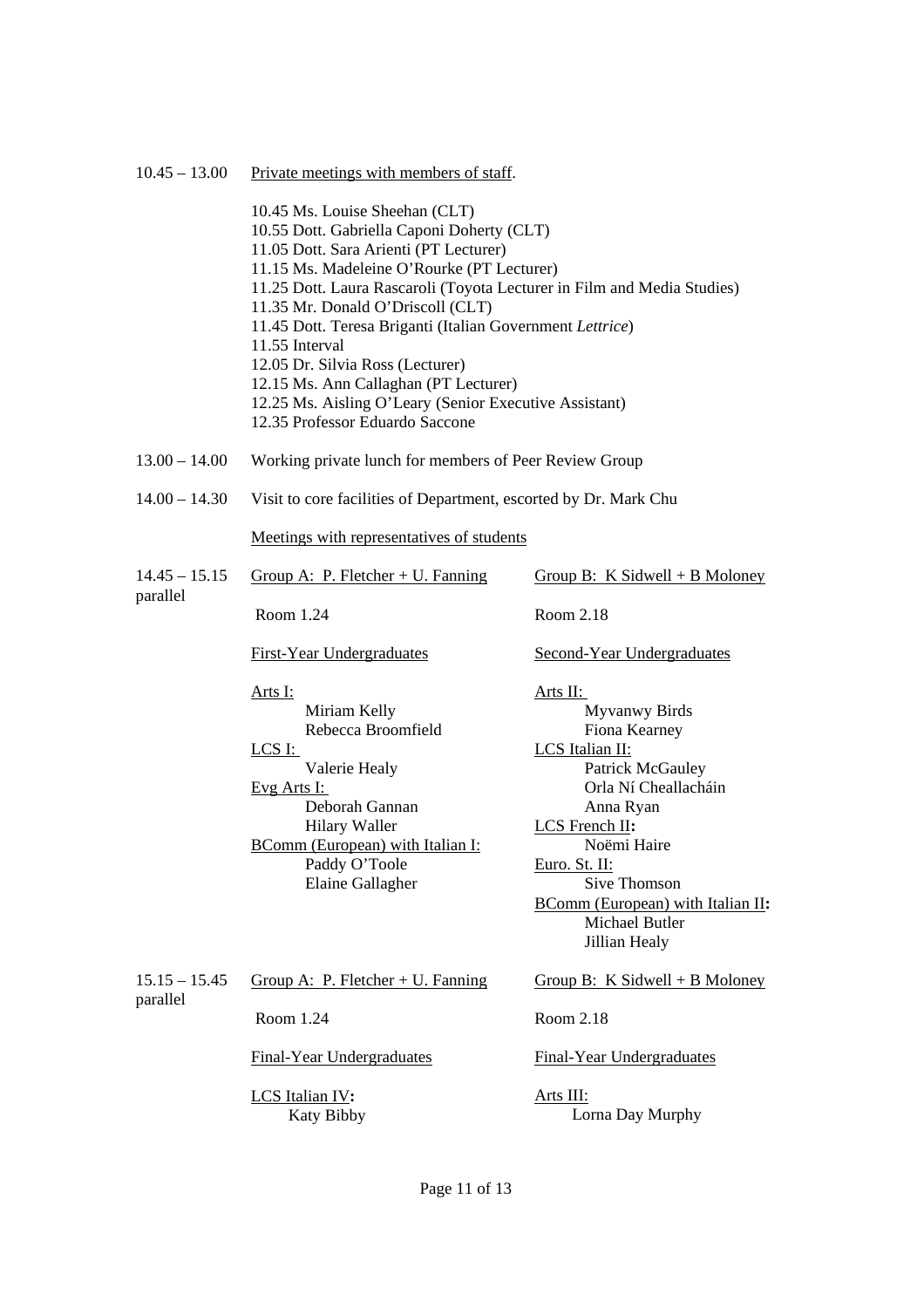#### 10.45 – 13.00 Private meetings with members of staff.

| 10.45 Ms. Louise Sheehan (CLT)                                          |
|-------------------------------------------------------------------------|
| 10.55 Dott. Gabriella Caponi Doherty (CLT)                              |
| 11.05 Dott. Sara Arienti (PT Lecturer)                                  |
| 11.15 Ms. Madeleine O'Rourke (PT Lecturer)                              |
| 11.25 Dott. Laura Rascaroli (Toyota Lecturer in Film and Media Studies) |
| 11.35 Mr. Donald O'Driscoll (CLT)                                       |
| 11.45 Dott. Teresa Briganti (Italian Government Lettrice)               |
| 11.55 Interval                                                          |
| 12.05 Dr. Silvia Ross (Lecturer)                                        |
| 12.15 Ms. Ann Callaghan (PT Lecturer)                                   |
| 12.25 Ms. Aisling O'Leary (Senior Executive Assistant)                  |
| 12.35 Professor Eduardo Saccone                                         |

- 13.00 14.00 Working private lunch for members of Peer Review Group
- 14.00 14.30 Visit to core facilities of Department, escorted by Dr. Mark Chu

#### Meetings with representatives of students

| $14.45 - 15.15$<br>parallel | Group A: P. Fletcher + U. Fanning                                                                               | Group B: K Sidwell + B Moloney                                                |
|-----------------------------|-----------------------------------------------------------------------------------------------------------------|-------------------------------------------------------------------------------|
|                             | Room 1.24                                                                                                       | Room 2.18                                                                     |
|                             | First-Year Undergraduates                                                                                       | <b>Second-Year Undergraduates</b>                                             |
|                             | Arts I:                                                                                                         | Arts II:                                                                      |
|                             | Miriam Kelly                                                                                                    | Myvanwy Birds                                                                 |
|                             | Rebecca Broomfield                                                                                              | Fiona Kearney                                                                 |
|                             | LCS I:                                                                                                          | LCS Italian II:                                                               |
|                             | Valerie Healy                                                                                                   | <b>Patrick McGauley</b>                                                       |
|                             | $Evg$ Arts I:                                                                                                   | Orla Ní Cheallacháin                                                          |
|                             | Deborah Gannan                                                                                                  | Anna Ryan                                                                     |
|                             | Hilary Waller                                                                                                   | LCS French II:                                                                |
|                             | $\sqrt{11}$ $\sqrt{11}$ $\sqrt{11}$ $\sqrt{11}$ $\sqrt{11}$ $\sqrt{11}$ $\sqrt{11}$ $\sqrt{11}$<br>$\mathbf{r}$ | $\mathbf{v}$ $\mathbf{v}$ $\mathbf{v}$ $\mathbf{v}$ $\mathbf{v}$ $\mathbf{v}$ |

BComm (European) with Italian I: Paddy O'Toole Elaine Gallagher

 Noëmi Haire Euro. St. II: Sive Thomson BComm (European) with Italian II**:** Michael Butler Jillian Healy

Group B: K Sidwell + B Moloney

 $15.15 - 15.45$ parallel Group A: P. Fletcher + U. Fanning Room 1.24

Room 2.18

Final-Year Undergraduates

LCS Italian IV**:** Katy Bibby Final-Year Undergraduates

Arts III: Lorna Day Murphy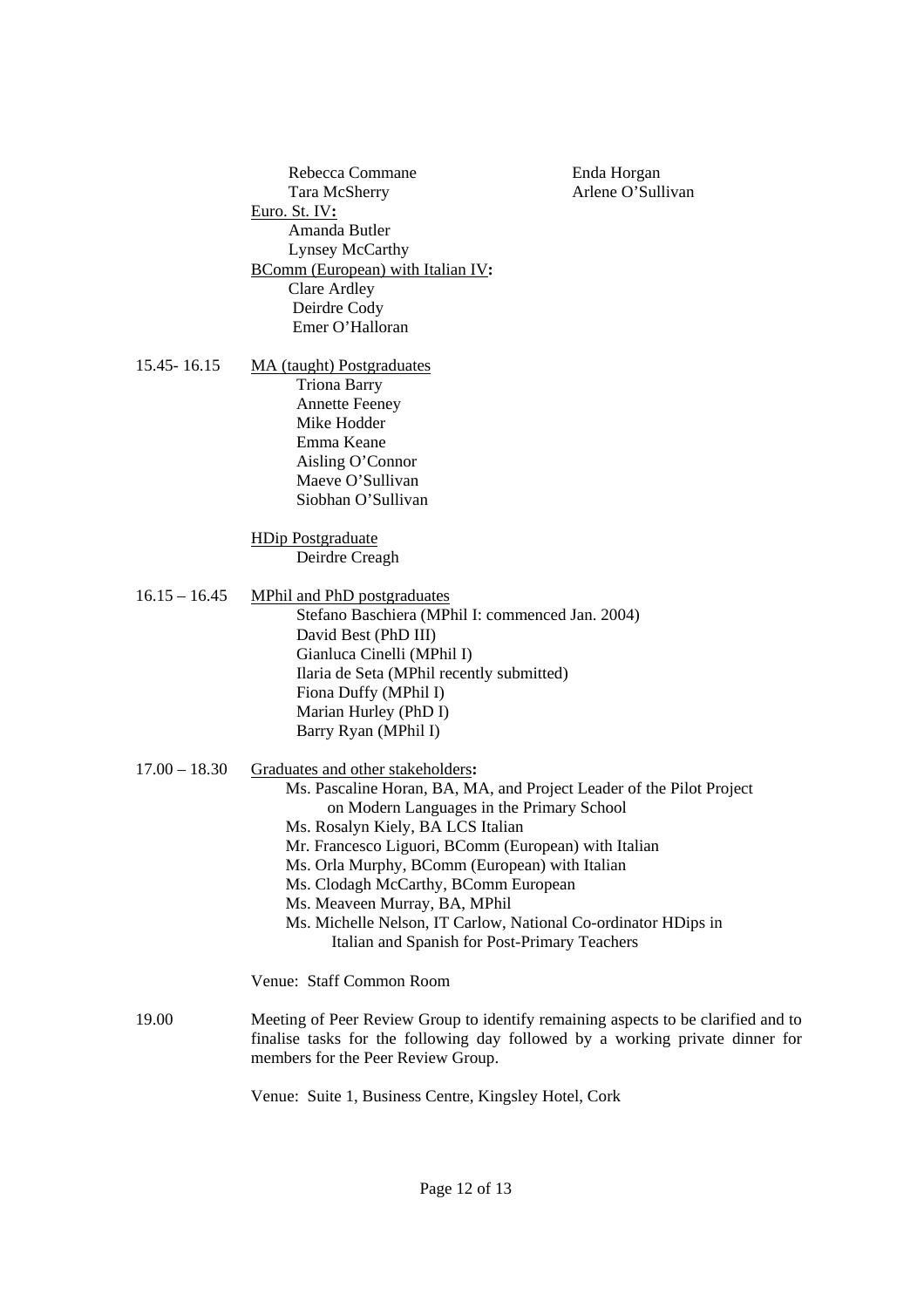|                 | Rebecca Commane<br>Tara McSherry<br>Euro. St. IV:<br>Amanda Butler<br>Lynsey McCarthy<br><b>BComm</b> (European) with Italian IV:<br><b>Clare Ardley</b><br>Deirdre Cody<br>Emer O'Halloran                                                                                                                                                                                                                                                                                                       | Enda Horgan<br>Arlene O'Sullivan |
|-----------------|---------------------------------------------------------------------------------------------------------------------------------------------------------------------------------------------------------------------------------------------------------------------------------------------------------------------------------------------------------------------------------------------------------------------------------------------------------------------------------------------------|----------------------------------|
| 15.45 - 16.15   | <b>MA</b> (taught) Postgraduates<br><b>Triona Barry</b><br><b>Annette Feeney</b><br>Mike Hodder<br>Emma Keane<br>Aisling O'Connor<br>Maeve O'Sullivan<br>Siobhan O'Sullivan                                                                                                                                                                                                                                                                                                                       |                                  |
|                 | <b>HDip Postgraduate</b><br>Deirdre Creagh                                                                                                                                                                                                                                                                                                                                                                                                                                                        |                                  |
| $16.15 - 16.45$ | MPhil and PhD postgraduates<br>Stefano Baschiera (MPhil I: commenced Jan. 2004)<br>David Best (PhD III)<br>Gianluca Cinelli (MPhil I)<br>Ilaria de Seta (MPhil recently submitted)<br>Fiona Duffy (MPhil I)<br>Marian Hurley (PhD I)<br>Barry Ryan (MPhil I)                                                                                                                                                                                                                                      |                                  |
| $17.00 - 18.30$ | Graduates and other stakeholders:<br>Ms. Pascaline Horan, BA, MA, and Project Leader of the Pilot Project<br>on Modern Languages in the Primary School<br>Ms. Rosalyn Kiely, BA LCS Italian<br>Mr. Francesco Liguori, BComm (European) with Italian<br>Ms. Orla Murphy, BComm (European) with Italian<br>Ms. Clodagh McCarthy, BComm European<br>Ms. Meaveen Murray, BA, MPhil<br>Ms. Michelle Nelson, IT Carlow, National Co-ordinator HDips in<br>Italian and Spanish for Post-Primary Teachers |                                  |
|                 | Venue: Staff Common Room                                                                                                                                                                                                                                                                                                                                                                                                                                                                          |                                  |
| 19.00           | Meeting of Peer Review Group to identify remaining aspects to be clarified and to<br>finalise tasks for the following day followed by a working private dinner for<br>members for the Peer Review Group.                                                                                                                                                                                                                                                                                          |                                  |
|                 | Venue: Suite 1, Business Centre, Kingsley Hotel, Cork                                                                                                                                                                                                                                                                                                                                                                                                                                             |                                  |